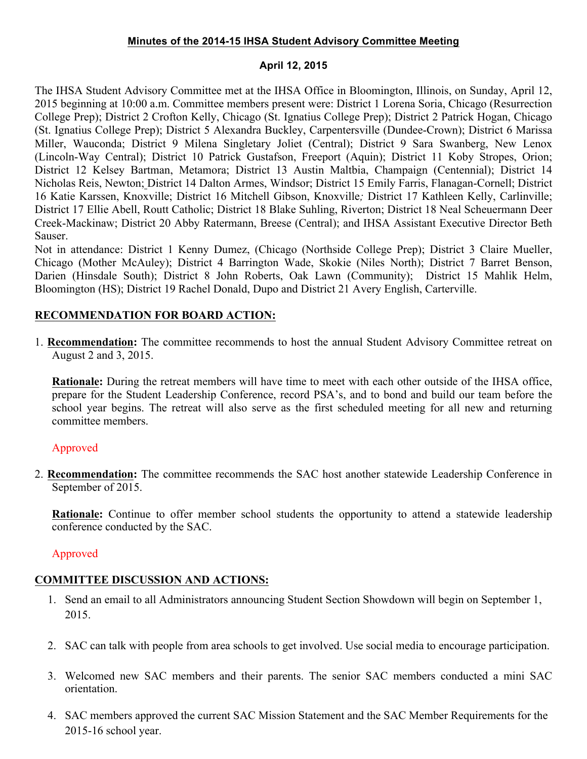#### **Minutes of the 2014-15 IHSA Student Advisory Committee Meeting**

#### **April 12, 2015**

The IHSA Student Advisory Committee met at the IHSA Office in Bloomington, Illinois, on Sunday, April 12, 2015 beginning at 10:00 a.m. Committee members present were: District 1 Lorena Soria, Chicago (Resurrection College Prep); District 2 Crofton Kelly, Chicago (St. Ignatius College Prep); District 2 Patrick Hogan, Chicago (St. Ignatius College Prep); District 5 Alexandra Buckley, Carpentersville (Dundee-Crown); District 6 Marissa Miller, Wauconda; District 9 Milena Singletary Joliet (Central); District 9 Sara Swanberg, New Lenox (Lincoln-Way Central); District 10 Patrick Gustafson, Freeport (Aquin); District 11 Koby Stropes, Orion; District 12 Kelsey Bartman, Metamora; District 13 Austin Maltbia, Champaign (Centennial); District 14 Nicholas Reis, Newton; District 14 Dalton Armes, Windsor; District 15 Emily Farris, Flanagan-Cornell; District 16 Katie Karssen, Knoxville; District 16 Mitchell Gibson, Knoxville*;* District 17 Kathleen Kelly, Carlinville; District 17 Ellie Abell, Routt Catholic; District 18 Blake Suhling, Riverton; District 18 Neal Scheuermann Deer Creek-Mackinaw; District 20 Abby Ratermann, Breese (Central); and IHSA Assistant Executive Director Beth Sauser.

Not in attendance: District 1 Kenny Dumez, (Chicago (Northside College Prep); District 3 Claire Mueller, Chicago (Mother McAuley); District 4 Barrington Wade, Skokie (Niles North); District 7 Barret Benson, Darien (Hinsdale South); District 8 John Roberts, Oak Lawn (Community); District 15 Mahlik Helm, Bloomington (HS); District 19 Rachel Donald, Dupo and District 21 Avery English, Carterville.

## **RECOMMENDATION FOR BOARD ACTION:**

1. **Recommendation:** The committee recommends to host the annual Student Advisory Committee retreat on August 2 and 3, 2015.

**Rationale:** During the retreat members will have time to meet with each other outside of the IHSA office, prepare for the Student Leadership Conference, record PSA's, and to bond and build our team before the school year begins. The retreat will also serve as the first scheduled meeting for all new and returning committee members.

### Approved

2. **Recommendation:** The committee recommends the SAC host another statewide Leadership Conference in September of 2015.

**Rationale:** Continue to offer member school students the opportunity to attend a statewide leadership conference conducted by the SAC.

# Approved

### **COMMITTEE DISCUSSION AND ACTIONS:**

- 1. Send an email to all Administrators announcing Student Section Showdown will begin on September 1, 2015.
- 2. SAC can talk with people from area schools to get involved. Use social media to encourage participation.
- 3. Welcomed new SAC members and their parents. The senior SAC members conducted a mini SAC orientation.
- 4. SAC members approved the current SAC Mission Statement and the SAC Member Requirements for the 2015-16 school year.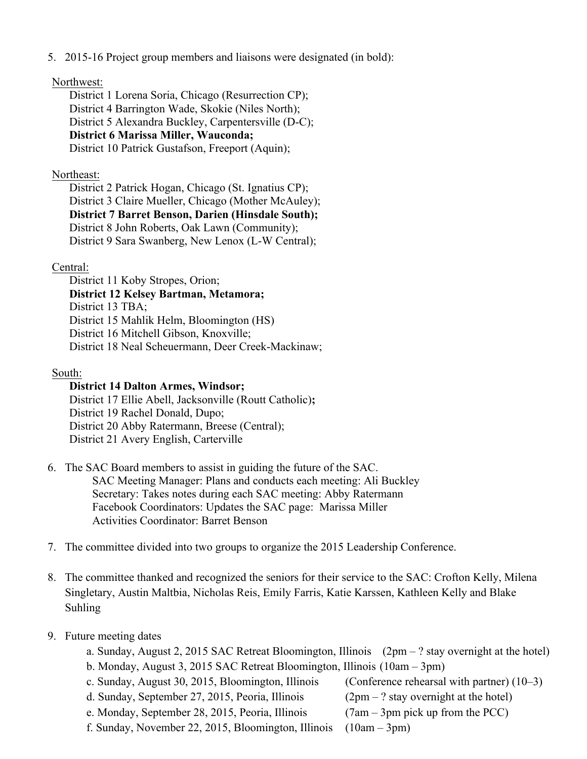5. 2015-16 Project group members and liaisons were designated (in bold):

#### Northwest:

District 1 Lorena Soria, Chicago (Resurrection CP); District 4 Barrington Wade, Skokie (Niles North); District 5 Alexandra Buckley, Carpentersville (D-C); **District 6 Marissa Miller, Wauconda;**  District 10 Patrick Gustafson, Freeport (Aquin);

### Northeast:

District 2 Patrick Hogan, Chicago (St. Ignatius CP); District 3 Claire Mueller, Chicago (Mother McAuley); **District 7 Barret Benson, Darien (Hinsdale South);**  District 8 John Roberts, Oak Lawn (Community); District 9 Sara Swanberg, New Lenox (L-W Central);

### Central:

District 11 Koby Stropes, Orion;

**District 12 Kelsey Bartman, Metamora;** 

District 13 TBA:

District 15 Mahlik Helm, Bloomington (HS)

District 16 Mitchell Gibson, Knoxville;

District 18 Neal Scheuermann, Deer Creek-Mackinaw;

### South:

### **District 14 Dalton Armes, Windsor;**

District 17 Ellie Abell, Jacksonville (Routt Catholic)**;** District 19 Rachel Donald, Dupo; District 20 Abby Ratermann, Breese (Central); District 21 Avery English, Carterville

- 6. The SAC Board members to assist in guiding the future of the SAC. SAC Meeting Manager: Plans and conducts each meeting: Ali Buckley Secretary: Takes notes during each SAC meeting: Abby Ratermann Facebook Coordinators: Updates the SAC page: Marissa Miller Activities Coordinator: Barret Benson
- 7. The committee divided into two groups to organize the 2015 Leadership Conference.
- 8. The committee thanked and recognized the seniors for their service to the SAC: Crofton Kelly, Milena Singletary, Austin Maltbia, Nicholas Reis, Emily Farris, Katie Karssen, Kathleen Kelly and Blake Suhling

### 9. Future meeting dates

- a. Sunday, August 2, 2015 SAC Retreat Bloomington, Illinois (2pm ? stay overnight at the hotel)
- b. Monday, August 3, 2015 SAC Retreat Bloomington, Illinois (10am 3pm)
- c. Sunday, August 30, 2015, Bloomington, Illinois (Conference rehearsal with partner) (10–3)
- d. Sunday, September 27, 2015, Peoria, Illinois ( $2pm ?$  stay overnight at the hotel)
- e. Monday, September 28, 2015, Peoria, Illinois (7am 3pm pick up from the PCC)
- f. Sunday, November 22, 2015, Bloomington, Illinois (10am 3pm)
	-